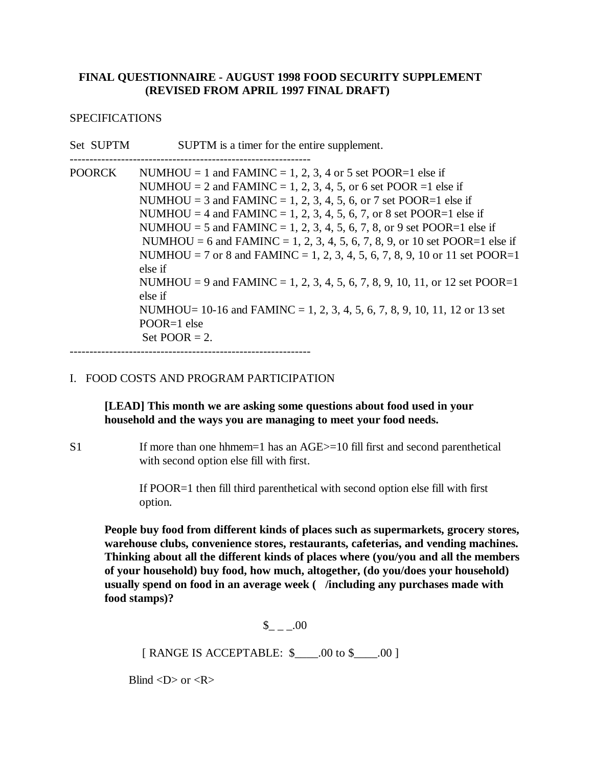## **FINAL QUESTIONNAIRE - AUGUST 1998 FOOD SECURITY SUPPLEMENT (REVISED FROM APRIL 1997 FINAL DRAFT)**

## SPECIFICATIONS

| Set SUPTM     | SUPTM is a timer for the entire supplement.                                                                                                                                                                                                                                                                                                                                                                                                                                                                                                                                                                                                                                                                                                    |
|---------------|------------------------------------------------------------------------------------------------------------------------------------------------------------------------------------------------------------------------------------------------------------------------------------------------------------------------------------------------------------------------------------------------------------------------------------------------------------------------------------------------------------------------------------------------------------------------------------------------------------------------------------------------------------------------------------------------------------------------------------------------|
| <b>POORCK</b> | NUMHOU = 1 and FAMINC = 1, 2, 3, 4 or 5 set POOR=1 else if<br>NUMHOU = 2 and FAMINC = 1, 2, 3, 4, 5, or 6 set POOR = 1 else if<br>NUMHOU = 3 and FAMINC = 1, 2, 3, 4, 5, 6, or 7 set POOR=1 else if<br>NUMHOU = 4 and FAMINC = 1, 2, 3, 4, 5, 6, 7, or 8 set POOR=1 else if<br>NUMHOU = 5 and FAMINC = 1, 2, 3, 4, 5, 6, 7, 8, or 9 set POOR=1 else if<br>NUMHOU = 6 and FAMINC = 1, 2, 3, 4, 5, 6, 7, 8, 9, or 10 set POOR=1 else if<br>NUMHOU = 7 or 8 and FAMINC = 1, 2, 3, 4, 5, 6, 7, 8, 9, 10 or 11 set POOR=1<br>else if<br>NUMHOU = 9 and FAMINC = 1, 2, 3, 4, 5, 6, 7, 8, 9, 10, 11, or 12 set POOR=1<br>else if<br>NUMHOU= $10-16$ and FAMINC = 1, 2, 3, 4, 5, 6, 7, 8, 9, 10, 11, 12 or 13 set<br>$POOR=1$ else<br>Set POOR $= 2$ . |

-------------------------------------------------------------

## I. FOOD COSTS AND PROGRAM PARTICIPATION

**[LEAD] This month we are asking some questions about food used in your household and the ways you are managing to meet your food needs.**

S1 If more than one hhmem=1 has an AGE>=10 fill first and second parenthetical with second option else fill with first.

> If POOR=1 then fill third parenthetical with second option else fill with first option.

**People buy food from different kinds of places such as supermarkets, grocery stores, warehouse clubs, convenience stores, restaurants, cafeterias, and vending machines. Thinking about all the different kinds of places where (you/you and all the members of your household) buy food, how much, altogether, (do you/does your household) usually spend on food in an average week ( /including any purchases made with food stamps)?**

 $$ 00$ 

[ RANGE IS ACCEPTABLE: \$\_\_\_\_.00 to \$\_\_\_\_.00 ]

Blind  $\langle D \rangle$  or  $\langle R \rangle$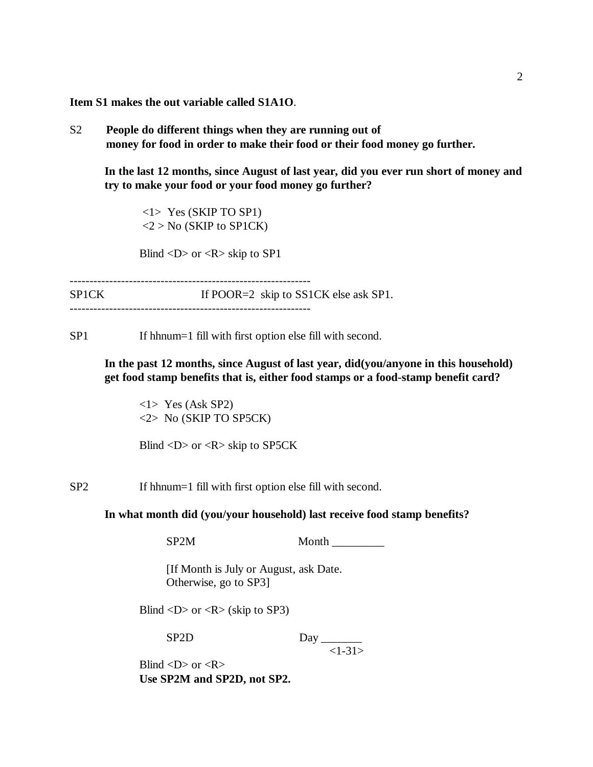**Item S1 makes the out variable called S1A1O**.

S2 **People do different things when they are running out of money for food in order to make their food or their food money go further.**

**In the last 12 months, since August of last year, did you ever run short of money and try to make your food or your food money go further?**

 <1> Yes (SKIP TO SP1)  $<$ 2 > No (SKIP to SP1CK)

Blind  $\langle D \rangle$  or  $\langle R \rangle$  skip to SP1

-------------------------------------------------------------

SP1CK If POOR=2 skip to SS1CK else ask SP1. -------------------------------------------------------------

SP1 If hhnum=1 fill with first option else fill with second.

**In the past 12 months, since August of last year, did(you/anyone in this household) get food stamp benefits that is, either food stamps or a food-stamp benefit card?**

<1> Yes (Ask SP2) <2> No (SKIP TO SP5CK)

Blind <D> or <R> skip to SP5CK

SP2 If hhnum=1 fill with first option else fill with second.

**In what month did (you/your household) last receive food stamp benefits?**

SP2M Month

 [If Month is July or August, ask Date. Otherwise, go to SP3]

Blind  $\langle D \rangle$  or  $\langle R \rangle$  (skip to SP3)

 $SP2D$  Day

 $<1-31>$ 

Blind  $\langle D \rangle$  or  $\langle R \rangle$ **Use SP2M and SP2D, not SP2.**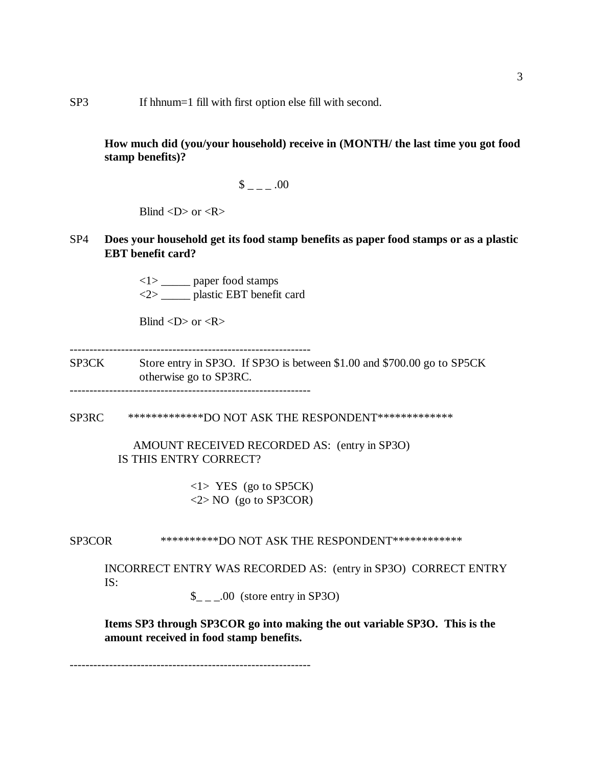## SP3 If hhnum=1 fill with first option else fill with second.

**How much did (you/your household) receive in (MONTH/ the last time you got food stamp benefits)?**

$$
- = 0.00
$$

Blind  $\langle D \rangle$  or  $\langle R \rangle$ 

SP4 **Does your household get its food stamp benefits as paper food stamps or as a plastic EBT benefit card?**

> <1> \_\_\_\_\_ paper food stamps <2> \_\_\_\_\_ plastic EBT benefit card

Blind  $\langle D \rangle$  or  $\langle R \rangle$ 

-------------------------------------------------------------

SP3CK Store entry in SP3O. If SP3O is between \$1.00 and \$700.00 go to SP5CK otherwise go to SP3RC.

-------------------------------------------------------------

SP3RC \*\*\*\*\*\*\*\*\*\*\*\*\*DO NOT ASK THE RESPONDENT\*\*\*\*\*\*\*\*\*\*\*\*\*

 AMOUNT RECEIVED RECORDED AS: (entry in SP3O) IS THIS ENTRY CORRECT?

> <1> YES (go to SP5CK)  $\langle 2 \rangle$  NO (go to SP3COR)

SP3COR \*\*\*\*\*\*\*\*\*\*DO NOT ASK THE RESPONDENT\*\*\*\*\*\*\*\*\*\*\*\*

INCORRECT ENTRY WAS RECORDED AS: (entry in SP3O) CORRECT ENTRY IS:

 $\frac{1}{2}$  \_ \_.00 (store entry in SP3O)

**Items SP3 through SP3COR go into making the out variable SP3O. This is the amount received in food stamp benefits.** 

-------------------------------------------------------------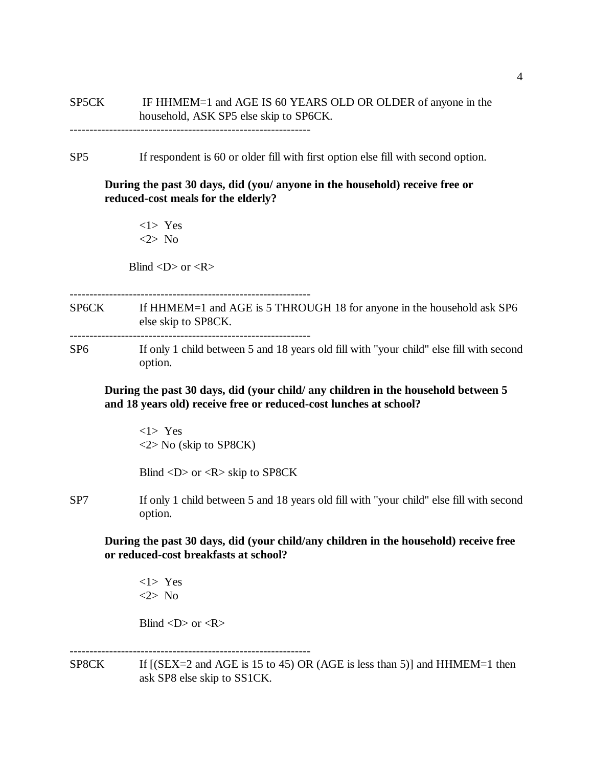# SP5CK IF HHMEM=1 and AGE IS 60 YEARS OLD OR OLDER of anyone in the household, ASK SP5 else skip to SP6CK.

-------------------------------------------------------------

SP5 If respondent is 60 or older fill with first option else fill with second option.

**During the past 30 days, did (you/ anyone in the household) receive free or reduced-cost meals for the elderly?**

<1> Yes <2> No

Blind  $\langle D \rangle$  or  $\langle R \rangle$ 

-------------------------------------------------------------

SP6CK If HHMEM=1 and AGE is 5 THROUGH 18 for anyone in the household ask SP6 else skip to SP8CK.

-------------------------------------------------------------

SP6 If only 1 child between 5 and 18 years old fill with "your child" else fill with second option.

**During the past 30 days, did (your child/ any children in the household between 5 and 18 years old) receive free or reduced-cost lunches at school?**

<1> Yes <2> No (skip to SP8CK)

Blind <D> or <R> skip to SP8CK

SP7 If only 1 child between 5 and 18 years old fill with "your child" else fill with second option.

**During the past 30 days, did (your child/any children in the household) receive free or reduced-cost breakfasts at school?**

<1> Yes <2> No

Blind  $\langle D \rangle$  or  $\langle R \rangle$ 

SP8CK If  $[(SEX=2 \text{ and } AGE \text{ is } 15 \text{ to } 45) \text{ OR } (AGE \text{ is } less \text{ than } 5)]$  and  $HHMEM=1$  then ask SP8 else skip to SS1CK.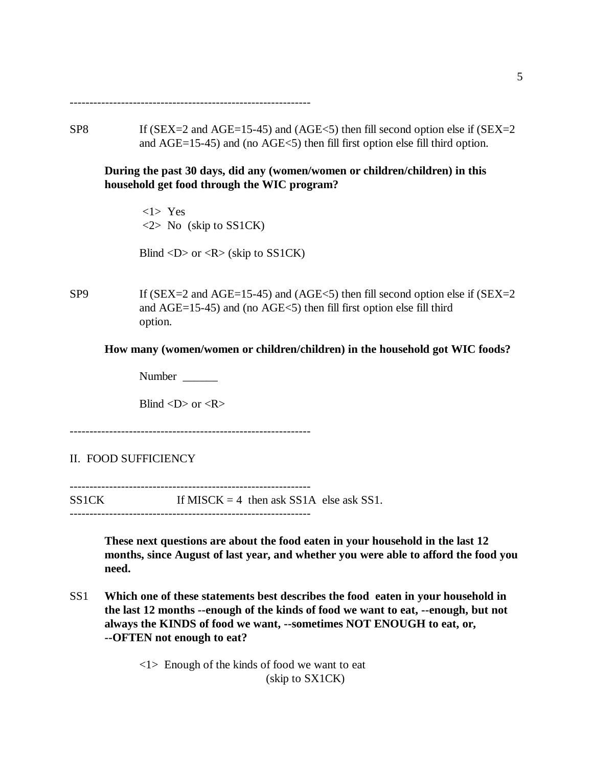-------------------------------------------------------------

SP8 If (SEX=2 and AGE=15-45) and (AGE<5) then fill second option else if (SEX=2 and AGE=15-45) and (no AGE<5) then fill first option else fill third option.

**During the past 30 days, did any (women/women or children/children) in this household get food through the WIC program?**

 <1> Yes  $\langle 2 \rangle$  No (skip to SS1CK)

Blind  $\langle D \rangle$  or  $\langle R \rangle$  (skip to SS1CK)

 $SP9$  If (SEX=2 and AGE=15-45) and (AGE<5) then fill second option else if (SEX=2 and AGE=15-45) and (no AGE<5) then fill first option else fill third option.

**How many (women/women or children/children) in the household got WIC foods?**

Number \_\_\_\_\_\_

Blind  $\langle D \rangle$  or  $\langle R \rangle$ 

-------------------------------------------------------------

II. FOOD SUFFICIENCY

-------------------------------------------------------------  $SS1CK$  If MISCK = 4 then ask SS1A else ask SS1. -------------------------------------------------------------

> **These next questions are about the food eaten in your household in the last 12 months, since August of last year, and whether you were able to afford the food you need.**

SS1 **Which one of these statements best describes the food eaten in your household in the last 12 months --enough of the kinds of food we want to eat, --enough, but not always the KINDS of food we want, --sometimes NOT ENOUGH to eat, or, --OFTEN not enough to eat?**

> <1> Enough of the kinds of food we want to eat (skip to SX1CK)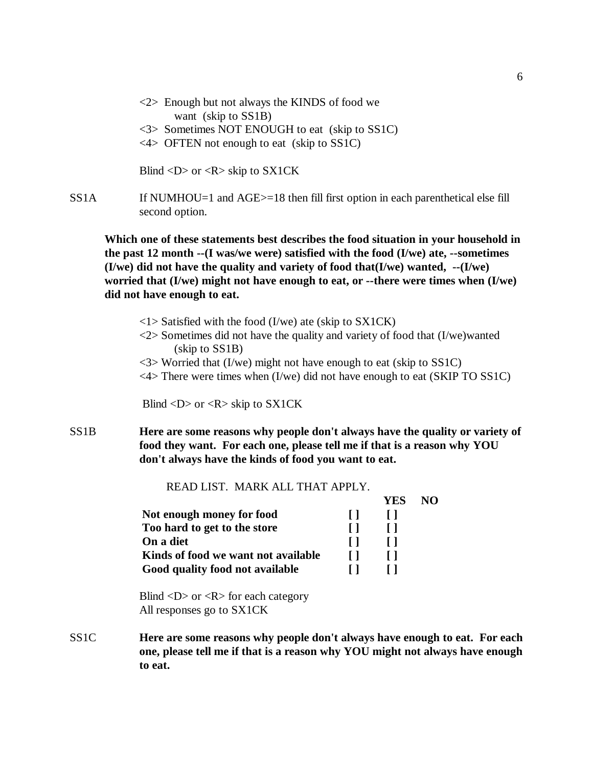- $\langle 2 \rangle$  Enough but not always the KINDS of food we want (skip to SS1B)
- <3> Sometimes NOT ENOUGH to eat (skip to SS1C)
- <4> OFTEN not enough to eat (skip to SS1C)

Blind  $\langle D \rangle$  or  $\langle R \rangle$  skip to SX1CK

SS1A If NUMHOU=1 and AGE>=18 then fill first option in each parenthetical else fill second option.

**Which one of these statements best describes the food situation in your household in the past 12 month --(I was/we were) satisfied with the food (I/we) ate, --sometimes (I/we) did not have the quality and variety of food that(I/we) wanted, --(I/we) worried that (I/we) might not have enough to eat, or --there were times when (I/we) did not have enough to eat.** 

- $\langle$ 1> Satisfied with the food (I/we) ate (skip to SX1CK)
- <2> Sometimes did not have the quality and variety of food that (I/we)wanted (skip to SS1B)
- $\langle 3 \rangle$  Worried that (I/we) might not have enough to eat (skip to SS1C)
- <4> There were times when (I/we) did not have enough to eat (SKIP TO SS1C)

Blind  $\langle D \rangle$  or  $\langle R \rangle$  skip to SX1CK

SS1B **Here are some reasons why people don't always have the quality or variety of food they want. For each one, please tell me if that is a reason why YOU don't always have the kinds of food you want to eat.**

READ LIST. MARK ALL THAT APPLY.

|                                     | YES | NΟ |
|-------------------------------------|-----|----|
| Not enough money for food           |     |    |
| Too hard to get to the store        |     |    |
| On a diet                           |     |    |
| Kinds of food we want not available |     |    |
| Good quality food not available     |     |    |

Blind  $\langle D \rangle$  or  $\langle R \rangle$  for each category All responses go to SX1CK

SS1C **Here are some reasons why people don't always have enough to eat. For each one, please tell me if that is a reason why YOU might not always have enough to eat.**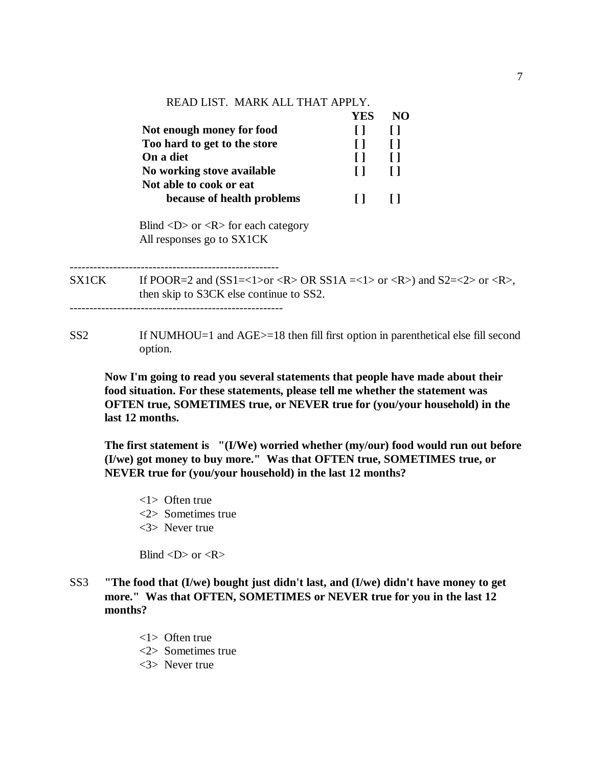# READ LIST. MARK ALL THAT APPLY.

|                              | YES. | NO |
|------------------------------|------|----|
| Not enough money for food    |      |    |
| Too hard to get to the store |      |    |
| On a diet                    |      |    |
| No working stove available   |      |    |
| Not able to cook or eat      |      |    |
| because of health problems   |      |    |
|                              |      |    |

Blind  $\langle D \rangle$  or  $\langle R \rangle$  for each category All responses go to SX1CK

-----------------------------------------------------

SX1CK If POOR=2 and  $(SS1=<1>or OR SS1A=<1>or OR SS1A=<2>or OR$ then skip to S3CK else continue to SS2.

SS2 If NUMHOU=1 and AGE>=18 then fill first option in parenthetical else fill second option.

 **Now I'm going to read you several statements that people have made about their food situation. For these statements, please tell me whether the statement was OFTEN true, SOMETIMES true, or NEVER true for (you/your household) in the last 12 months.**

**The first statement is "(I/We) worried whether (my/our) food would run out before (I/we) got money to buy more." Was that OFTEN true, SOMETIMES true, or NEVER true for (you/your household) in the last 12 months?**

<1> Often true <2> Sometimes true <3> Never true

Blind  $\langle D \rangle$  or  $\langle R \rangle$ 

- SS3 **"The food that (I/we) bought just didn't last, and (I/we) didn't have money to get more." Was that OFTEN, SOMETIMES or NEVER true for you in the last 12 months?**
	- <1> Often true
	- <2> Sometimes true
	- <3> Never true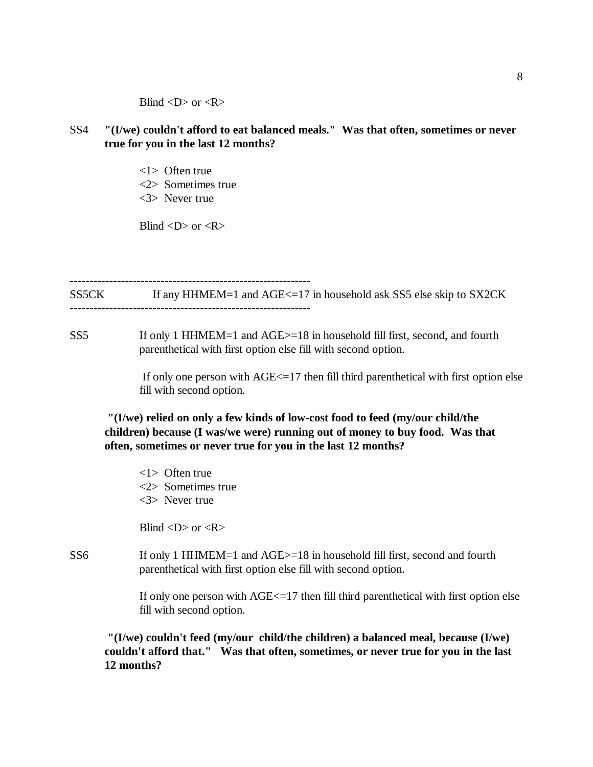Blind  $\langle D \rangle$  or  $\langle R \rangle$ 

- SS4 **"(I/we) couldn't afford to eat balanced meals." Was that often, sometimes or never true for you in the last 12 months?**
	- <1> Often true
	- <2> Sometimes true
	- <3> Never true

Blind  $\langle D \rangle$  or  $\langle R \rangle$ 

------------------------------------------------------------- SS5CK If any HHMEM=1 and AGE <= 17 in household ask SS5 else skip to SX2CK -------------------------------------------------------------

SS5 If only 1 HHMEM=1 and AGE>=18 in household fill first, second, and fourth parenthetical with first option else fill with second option.

> If only one person with  $AGE \leq 17$  then fill third parenthetical with first option else fill with second option.

**"(I/we) relied on only a few kinds of low-cost food to feed (my/our child/the children) because (I was/we were) running out of money to buy food. Was that often, sometimes or never true for you in the last 12 months?**

<1> Often true <2> Sometimes true <3> Never true

Blind  $\langle D \rangle$  or  $\langle R \rangle$ 

SS6 If only 1 HHMEM=1 and AGE>=18 in household fill first, second and fourth parenthetical with first option else fill with second option.

> If only one person with  $AGE \leq 17$  then fill third parenthetical with first option else fill with second option.

**"(I/we) couldn't feed (my/our child/the children) a balanced meal, because (I/we) couldn't afford that." Was that often, sometimes, or never true for you in the last 12 months?**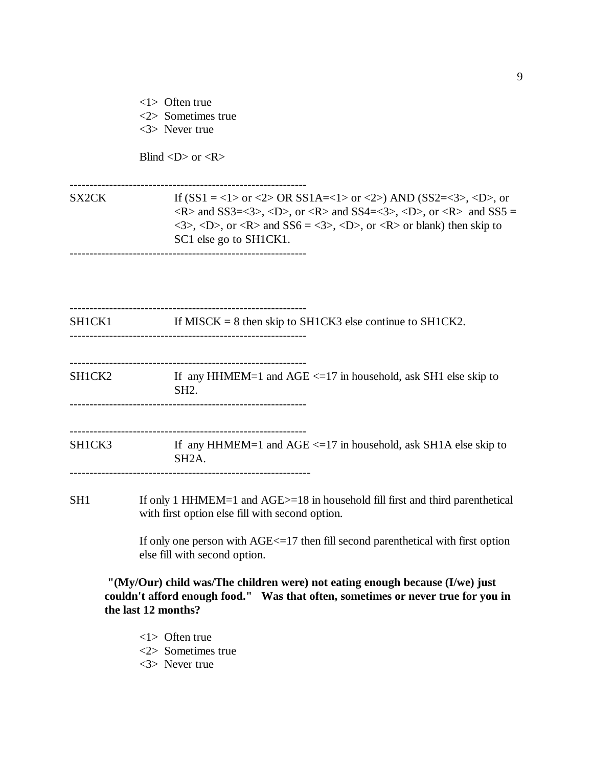<1> Often true <2> Sometimes true

<3> Never true

Blind  $\langle D \rangle$  or  $\langle R \rangle$ 

------------------------------------------------------------

SX2CK If  $(SS1 = <1> 0$  or  $<2> OR SS1A = <1> 0$  and  $(SS2 = <3> 0$ , or  $\langle R \rangle$  and SS3= $\langle 3 \rangle$ ,  $\langle D \rangle$ , or  $\langle R \rangle$  and SS4= $\langle 3 \rangle$ ,  $\langle D \rangle$ , or  $\langle R \rangle$  and SS5 =  $\langle 3 \rangle$ ,  $\langle D \rangle$ , or  $\langle R \rangle$  and  $SS6 = \langle 3 \rangle$ ,  $\langle D \rangle$ , or  $\langle R \rangle$  or blank) then skip to SC1 else go to SH1CK1. ------------------------------------------------------------

------------------------------------------------------------ SH1CK1 If MISCK = 8 then skip to SH1CK3 else continue to SH1CK2. ------------------------------------------------------------ ------------------------------------------------------------  $SHICK2$  If any HHMEM=1 and  $AGE \le 17$  in household, ask SH1 else skip to SH2. ------------------------------------------------------------ ------------------------------------------------------------ SH1CK3 If any HHMEM=1 and AGE <=17 in household, ask SH1A else skip to SH2A. -------------------------------------------------------------

SH1 If only 1 HHMEM=1 and AGE $>=$ 18 in household fill first and third parenthetical with first option else fill with second option.

> If only one person with AGE<=17 then fill second parenthetical with first option else fill with second option.

 **"(My/Our) child was/The children were) not eating enough because (I/we) just couldn't afford enough food." Was that often, sometimes or never true for you in the last 12 months?**

- <1> Often true
- <2> Sometimes true
- <3> Never true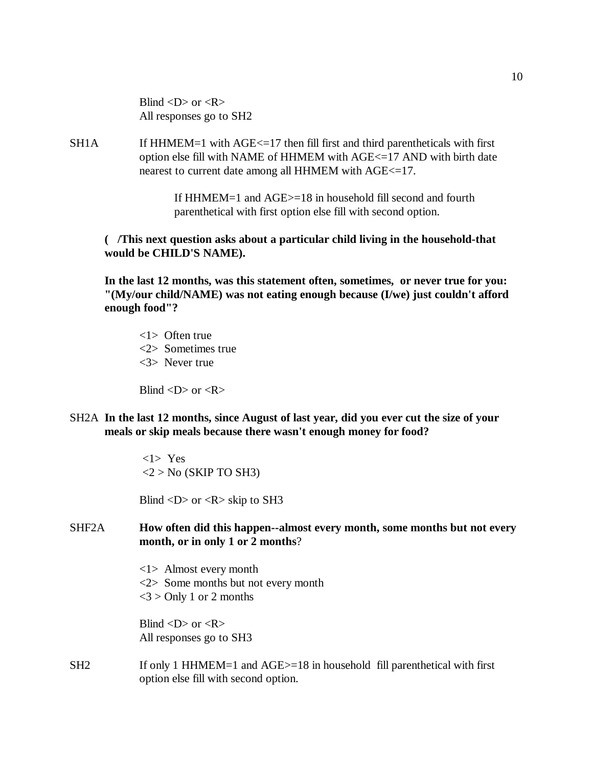Blind  $\langle D \rangle$  or  $\langle R \rangle$ All responses go to SH2

SH1A If HHMEM=1 with AGE <= 17 then fill first and third parentheticals with first option else fill with NAME of HHMEM with AGE<=17 AND with birth date nearest to current date among all HHMEM with AGE<=17.

> If HHMEM=1 and AGE>=18 in household fill second and fourth parenthetical with first option else fill with second option.

**( /This next question asks about a particular child living in the household-that would be CHILD'S NAME).** 

**In the last 12 months, was this statement often, sometimes, or never true for you: "(My/our child/NAME) was not eating enough because (I/we) just couldn't afford enough food"?** 

<1> Often true <2> Sometimes true <3> Never true

Blind  $\langle D \rangle$  or  $\langle R \rangle$ 

SH2A **In the last 12 months, since August of last year, did you ever cut the size of your meals or skip meals because there wasn't enough money for food?**

> <1> Yes  $<$ 2 > No (SKIP TO SH3)

Blind  $\langle D \rangle$  or  $\langle R \rangle$  skip to SH3

## SHF2A **How often did this happen--almost every month, some months but not every month, or in only 1 or 2 months**?

<1> Almost every month <2> Some months but not every month  $<$ 3 > Only 1 or 2 months

Blind  $\langle D \rangle$  or  $\langle R \rangle$ All responses go to SH3

SH2 If only 1 HHMEM=1 and AGE>=18 in household fill parenthetical with first option else fill with second option.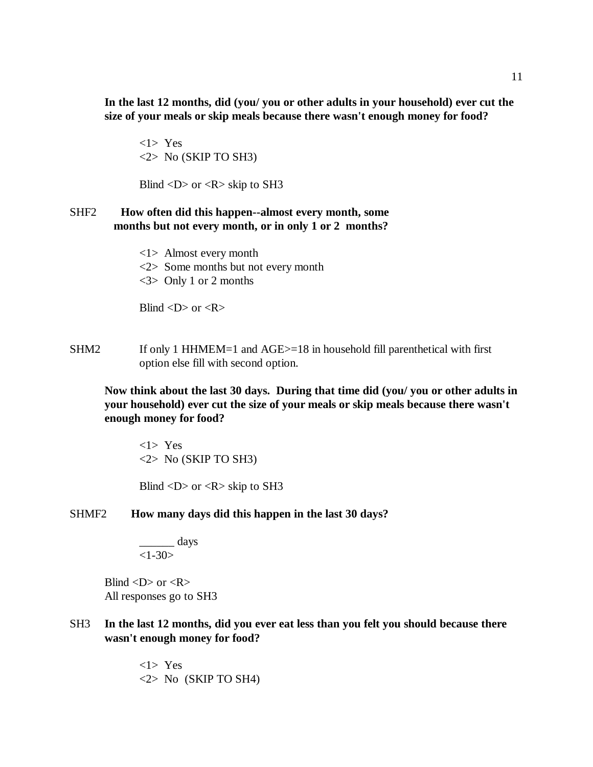**In the last 12 months, did (you/ you or other adults in your household) ever cut the size of your meals or skip meals because there wasn't enough money for food?**

<1> Yes <2> No (SKIP TO SH3)

Blind  $\langle D \rangle$  or  $\langle R \rangle$  skip to SH3

## SHF2 **How often did this happen--almost every month, some months but not every month, or in only 1 or 2 months?**

<1> Almost every month <2> Some months but not every month <3> Only 1 or 2 months

Blind  $\langle D \rangle$  or  $\langle R \rangle$ 

SHM2 If only 1 HHMEM=1 and AGE>=18 in household fill parenthetical with first option else fill with second option.

**Now think about the last 30 days. During that time did (you/ you or other adults in your household) ever cut the size of your meals or skip meals because there wasn't enough money for food?**

<1> Yes <2> No (SKIP TO SH3)

Blind  $\langle D \rangle$  or  $\langle R \rangle$  skip to SH3

SHMF2 **How many days did this happen in the last 30 days?**

$$
\frac{1}{1-30} \text{days}
$$

Blind  $\langle D \rangle$  or  $\langle R \rangle$ All responses go to SH3

SH3 **In the last 12 months, did you ever eat less than you felt you should because there wasn't enough money for food?**

> <1> Yes  $\langle 2 \rangle$  No (SKIP TO SH4)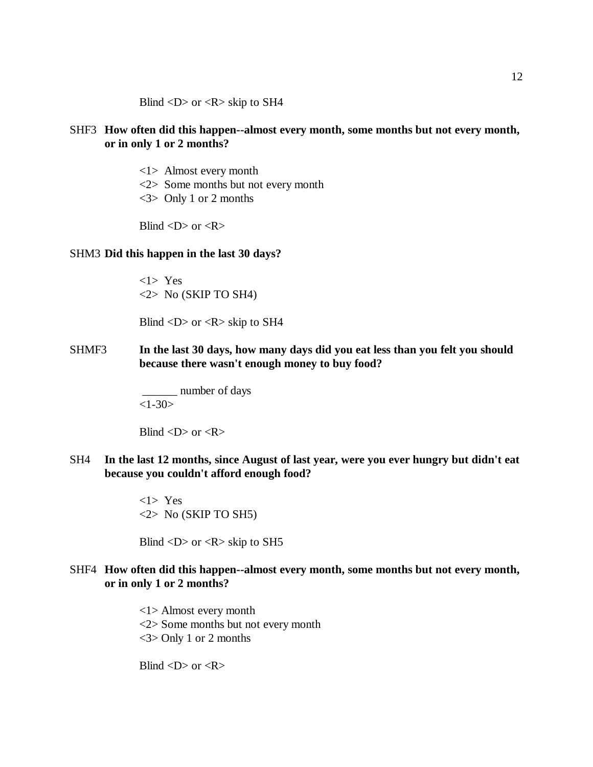Blind  $\langle D \rangle$  or  $\langle R \rangle$  skip to SH4

## SHF3 **How often did this happen--almost every month, some months but not every month, or in only 1 or 2 months?**

- <1> Almost every month
- <2> Some months but not every month
- <3> Only 1 or 2 months

Blind  $\langle D \rangle$  or  $\langle R \rangle$ 

#### SHM3 **Did this happen in the last 30 days?**

<1> Yes  $\langle 2 \rangle$  No (SKIP TO SH4)

Blind  $\langle D \rangle$  or  $\langle R \rangle$  skip to SH4

SHMF3 **In the last 30 days, how many days did you eat less than you felt you should because there wasn't enough money to buy food?**

> \_\_\_\_\_\_ number of days  $<1-30>$

Blind  $\langle D \rangle$  or  $\langle R \rangle$ 

SH4 **In the last 12 months, since August of last year, were you ever hungry but didn't eat because you couldn't afford enough food?**

> <1> Yes  $\langle 2 \rangle$  No (SKIP TO SH5)

Blind  $\langle D \rangle$  or  $\langle R \rangle$  skip to SH5

## SHF4 **How often did this happen--almost every month, some months but not every month, or in only 1 or 2 months?**

<1> Almost every month <2> Some months but not every month <3> Only 1 or 2 months

Blind  $\langle D \rangle$  or  $\langle R \rangle$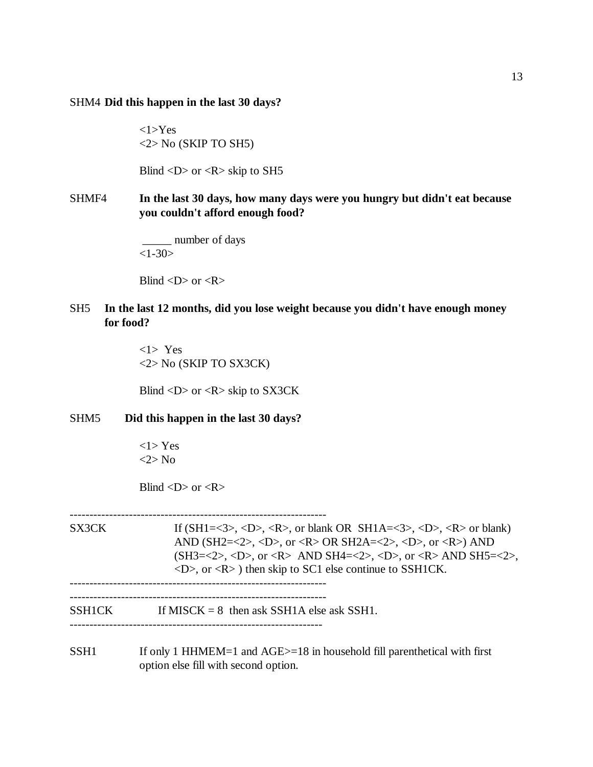#### SHM4 **Did this happen in the last 30 days?**

 $<1>Yes$ <2> No (SKIP TO SH5)

Blind  $\langle D \rangle$  or  $\langle R \rangle$  skip to SH5

## SHMF4 **In the last 30 days, how many days were you hungry but didn't eat because you couldn't afford enough food?**

 \_\_\_\_\_ number of days  $<1-30>$ 

Blind  $\langle D \rangle$  or  $\langle R \rangle$ 

## SH5 **In the last 12 months, did you lose weight because you didn't have enough money for food?**

<1> Yes <2> No (SKIP TO SX3CK)

Blind  $\langle D \rangle$  or  $\langle R \rangle$  skip to SX3CK

#### SHM5 **Did this happen in the last 30 days?**

<1> Yes <2> No

Blind  $\langle D \rangle$  or  $\langle R \rangle$ 

----------------------------------------------------------------- SX3CK If  $(SH1=<3>$ ,  $< D>$ ,  $< R>$ , or blank OR  $SH1A=<3>$ ,  $< D>$ ,  $< R>$  or blank) AND (SH2=<2>, <D>, or <R> OR SH2A=<2>, <D>, or <R>) AND  $(SH3=<2>, , or AND SH4=<2>, , or AND SH5=<2>,$  $\langle D \rangle$ , or  $\langle R \rangle$  then skip to SC1 else continue to SSH1CK. ----------------------------------------------------------------- -----------------------------------------------------------------  $SSH1CK$  If MISCK = 8 then ask SSH1A else ask SSH1. ----------------------------------------------------------------

SSH1 If only 1 HHMEM=1 and AGE > = 18 in household fill parenthetical with first option else fill with second option.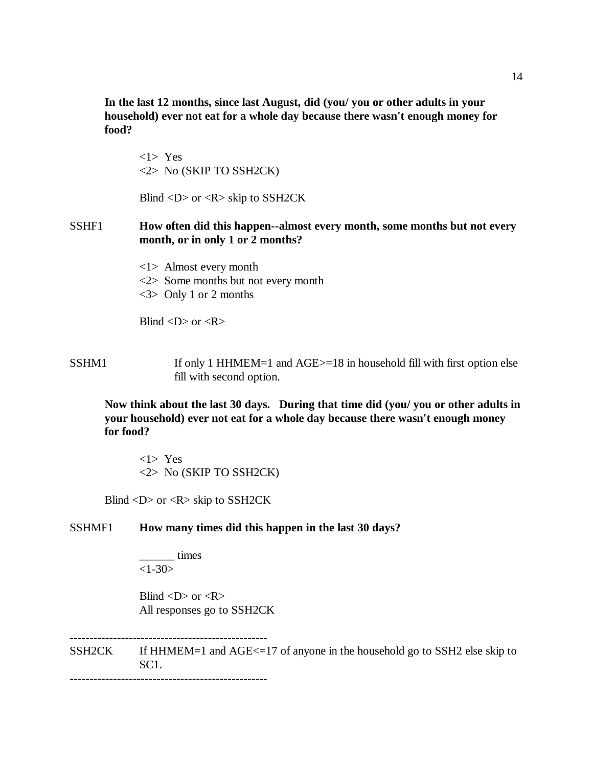**In the last 12 months, since last August, did (you/ you or other adults in your household) ever not eat for a whole day because there wasn't enough money for food?**

<1> Yes <2> No (SKIP TO SSH2CK)

Blind <D> or <R> skip to SSH2CK

## SSHF1 **How often did this happen--almost every month, some months but not every month, or in only 1 or 2 months?**

<1> Almost every month <2> Some months but not every month <3> Only 1 or 2 months

Blind  $\langle D \rangle$  or  $\langle R \rangle$ 

SSHM1 If only 1 HHMEM=1 and AGE>=18 in household fill with first option else fill with second option.

**Now think about the last 30 days. During that time did (you/ you or other adults in your household) ever not eat for a whole day because there wasn't enough money for food?**

<1> Yes <2> No (SKIP TO SSH2CK)

Blind <D> or <R> skip to SSH2CK

## SSHMF1 **How many times did this happen in the last 30 days?**

\_\_\_\_\_\_ times  $<1 - 30$ 

--------------------------------------------------

Blind  $\langle D \rangle$  or  $\langle R \rangle$ All responses go to SSH2CK

SSH2CK If HHMEM=1 and AGE<=17 of anyone in the household go to SSH2 else skip to SC1. --------------------------------------------------

14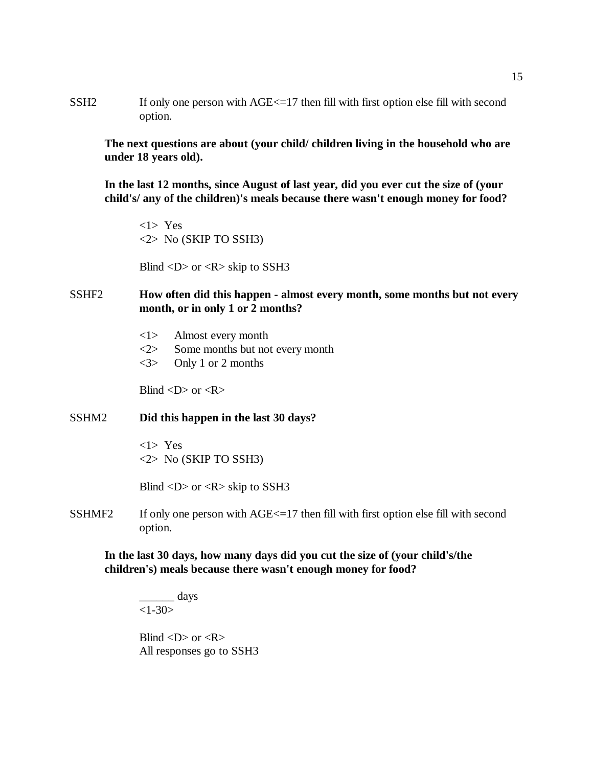SSH2 If only one person with AGE  $\leq$  17 then fill with first option else fill with second option.

**The next questions are about (your child/ children living in the household who are under 18 years old).**

**In the last 12 months, since August of last year, did you ever cut the size of (your child's/ any of the children)'s meals because there wasn't enough money for food?**

<1> Yes <2> No (SKIP TO SSH3)

Blind  $\langle D \rangle$  or  $\langle R \rangle$  skip to SSH3

## SSHF2 **How often did this happen - almost every month, some months but not every month, or in only 1 or 2 months?**

- <1> Almost every month
- <2> Some months but not every month
- <3> Only 1 or 2 months

Blind  $\langle D \rangle$  or  $\langle R \rangle$ 

## SSHM2 **Did this happen in the last 30 days?**

<1> Yes <2> No (SKIP TO SSH3)

Blind  $\langle D \rangle$  or  $\langle R \rangle$  skip to SSH3

SSHMF2 If only one person with AGE <= 17 then fill with first option else fill with second option.

**In the last 30 days, how many days did you cut the size of (your child's/the children's) meals because there wasn't enough money for food?**

\_\_\_\_\_\_ days  $<1-30>$ 

Blind  $\langle D \rangle$  or  $\langle R \rangle$ All responses go to SSH3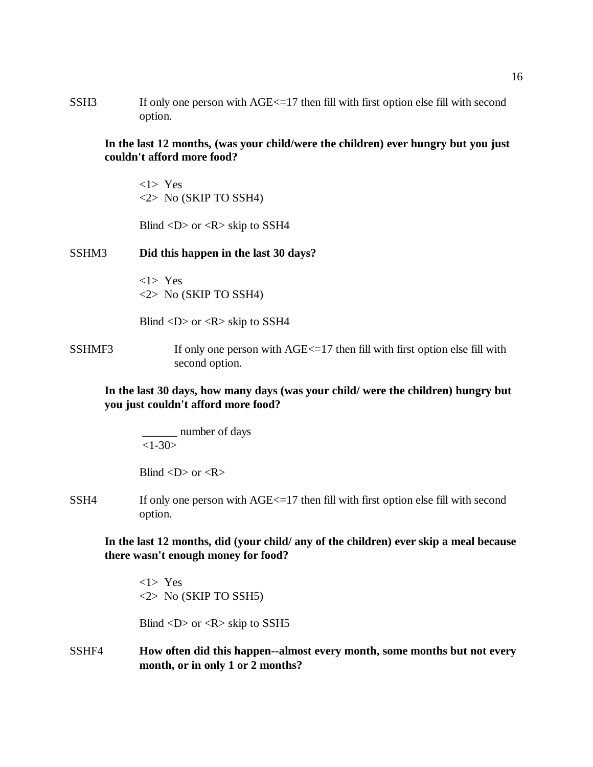SSH3 If only one person with AGE  $\le$  17 then fill with first option else fill with second option.

**In the last 12 months, (was your child/were the children) ever hungry but you just couldn't afford more food?**

<1> Yes <2> No (SKIP TO SSH4)

Blind  $\langle D \rangle$  or  $\langle R \rangle$  skip to SSH4

SSHM3 **Did this happen in the last 30 days?**

<1> Yes <2> No (SKIP TO SSH4)

Blind  $\langle D \rangle$  or  $\langle R \rangle$  skip to SSH4

SSHMF3 If only one person with AGE <= 17 then fill with first option else fill with second option.

## **In the last 30 days, how many days (was your child/ were the children) hungry but you just couldn't afford more food?**

 \_\_\_\_\_\_ number of days  $<1-30>$ 

Blind  $\langle D \rangle$  or  $\langle R \rangle$ 

SSH4 If only one person with AGE <= 17 then fill with first option else fill with second option.

**In the last 12 months, did (your child/ any of the children) ever skip a meal because there wasn't enough money for food?**

<1> Yes <2> No (SKIP TO SSH5)

Blind  $\langle D \rangle$  or  $\langle R \rangle$  skip to SSH5

SSHF4 **How often did this happen--almost every month, some months but not every month, or in only 1 or 2 months?**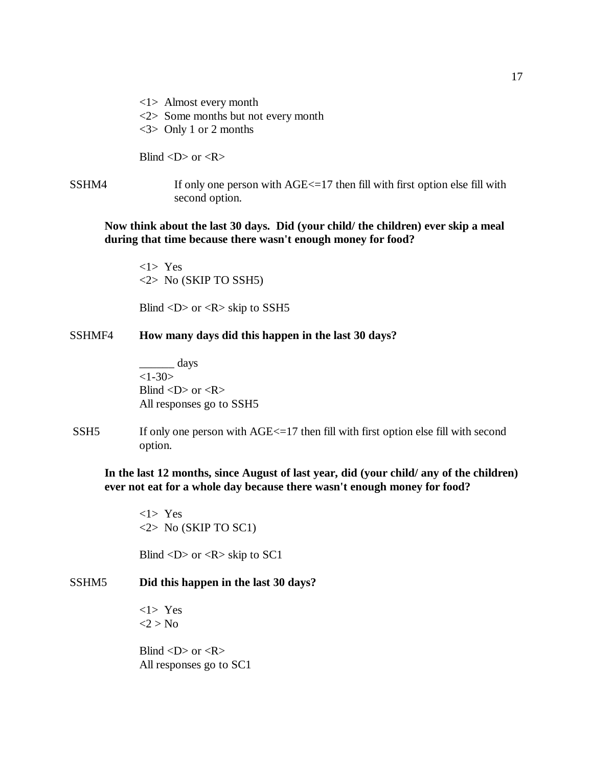<1> Almost every month <2> Some months but not every month <3> Only 1 or 2 months

Blind  $\langle D \rangle$  or  $\langle R \rangle$ 

SSHM4 If only one person with AGE <= 17 then fill with first option else fill with second option.

**Now think about the last 30 days. Did (your child/ the children) ever skip a meal during that time because there wasn't enough money for food?**

<1> Yes <2> No (SKIP TO SSH5)

Blind  $\langle D \rangle$  or  $\langle R \rangle$  skip to SSH5

SSHMF4 **How many days did this happen in the last 30 days?**

 $\frac{\text{days}}{\text{days}}$  $<1-30>$ Blind  $\langle D \rangle$  or  $\langle R \rangle$ All responses go to SSH5

SSH5 If only one person with AGE <= 17 then fill with first option else fill with second option.

**In the last 12 months, since August of last year, did (your child/ any of the children) ever not eat for a whole day because there wasn't enough money for food?**

<1> Yes  $\langle 2 \rangle$  No (SKIP TO SC1)

Blind  $\langle D \rangle$  or  $\langle R \rangle$  skip to SC1

## SSHM5 **Did this happen in the last 30 days?**

<1> Yes  $<$ 2 > No

Blind  $\langle D \rangle$  or  $\langle R \rangle$ All responses go to SC1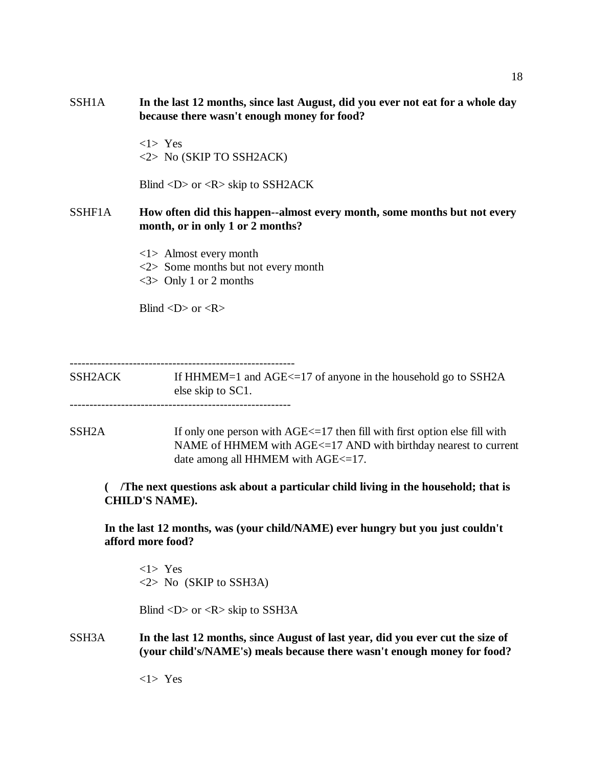SSH1A **In the last 12 months, since last August, did you ever not eat for a whole day because there wasn't enough money for food?**

> <1> Yes <2> No (SKIP TO SSH2ACK)

Blind <D> or <R> skip to SSH2ACK

## SSHF1A **How often did this happen--almost every month, some months but not every month, or in only 1 or 2 months?**

<1> Almost every month <2> Some months but not every month <3> Only 1 or 2 months

Blind  $\langle D \rangle$  or  $\langle R \rangle$ 

---------------------------------------------------------

SSH2ACK If HHMEM=1 and AGE<=17 of anyone in the household go to SSH2A else skip to SC1. --------------------------------------------------------

SSH2A If only one person with AGE<=17 then fill with first option else fill with NAME of HHMEM with AGE<=17 AND with birthday nearest to current date among all HHMEM with AGE $\le$ =17.

 **( /The next questions ask about a particular child living in the household; that is CHILD'S NAME).**

**In the last 12 months, was (your child/NAME) ever hungry but you just couldn't afford more food?**

<1> Yes <2> No (SKIP to SSH3A)

Blind  $\langle D \rangle$  or  $\langle R \rangle$  skip to SSH3A

SSH3A **In the last 12 months, since August of last year, did you ever cut the size of (your child's/NAME's) meals because there wasn't enough money for food?**

<1> Yes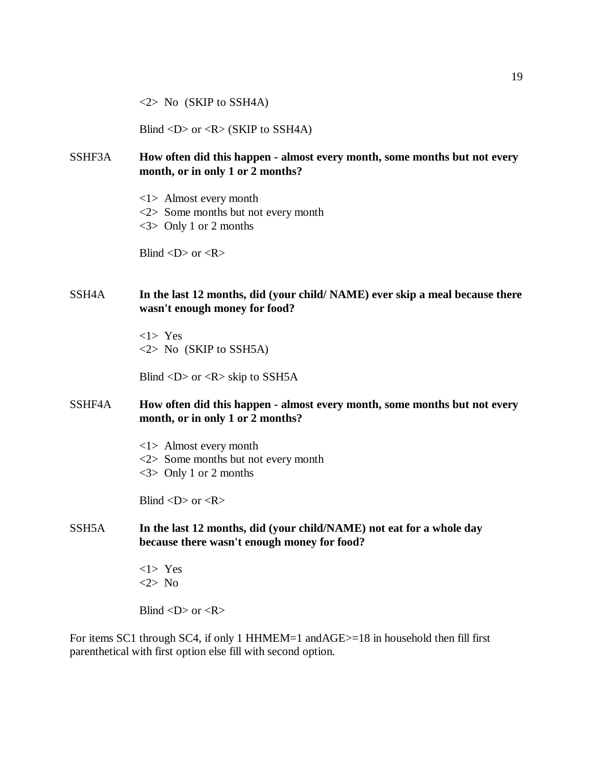$\langle 2 \rangle$  No (SKIP to SSH4A)

Blind <D> or <R> (SKIP to SSH4A)

- SSHF3A **How often did this happen almost every month, some months but not every month, or in only 1 or 2 months?**
	- <1> Almost every month
	- <2> Some months but not every month
	- <3> Only 1 or 2 months

Blind  $\langle D \rangle$  or  $\langle R \rangle$ 

## SSH4A **In the last 12 months, did (your child/ NAME) ever skip a meal because there wasn't enough money for food?**

<1> Yes <2> No (SKIP to SSH5A)

Blind  $\langle D \rangle$  or  $\langle R \rangle$  skip to SSH5A

## SSHF4A **How often did this happen - almost every month, some months but not every month, or in only 1 or 2 months?**

<1> Almost every month <2> Some months but not every month <3> Only 1 or 2 months

Blind  $\langle D \rangle$  or  $\langle R \rangle$ 

SSH5A **In the last 12 months, did (your child/NAME) not eat for a whole day because there wasn't enough money for food?**

> <1> Yes <2> No

Blind  $\langle D \rangle$  or  $\langle R \rangle$ 

For items SC1 through SC4, if only 1 HHMEM=1 andAGE>=18 in household then fill first parenthetical with first option else fill with second option.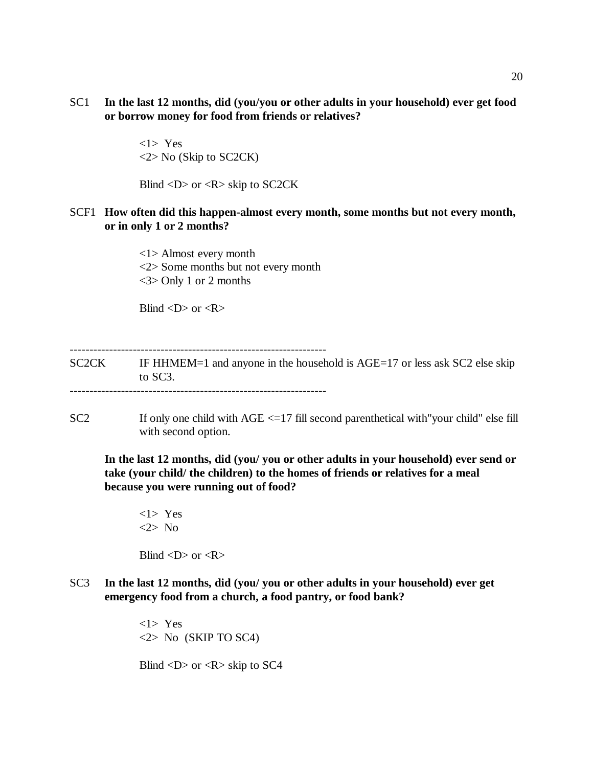SC1 **In the last 12 months, did (you/you or other adults in your household) ever get food or borrow money for food from friends or relatives?**

> <1> Yes <2> No (Skip to SC2CK)

Blind  $\langle D \rangle$  or  $\langle R \rangle$  skip to SC2CK

## SCF1 **How often did this happen-almost every month, some months but not every month, or in only 1 or 2 months?**

<1> Almost every month <2> Some months but not every month <3> Only 1 or 2 months

Blind  $\langle D \rangle$  or  $\langle R \rangle$ 

SC2CK IF HHMEM=1 and anyone in the household is AGE=17 or less ask SC2 else skip to SC3. -----------------------------------------------------------------

 $SC2$  If only one child with  $AGE < =17$  fill second parenthetical with "your child" else fill with second option.

**In the last 12 months, did (you/ you or other adults in your household) ever send or take (your child/ the children) to the homes of friends or relatives for a meal because you were running out of food?** 

<1> Yes <2> No

Blind  $\langle D \rangle$  or  $\langle R \rangle$ 

SC3 **In the last 12 months, did (you/ you or other adults in your household) ever get emergency food from a church, a food pantry, or food bank?** 

> <1> Yes  $\langle 2 \rangle$  No (SKIP TO SC4)

Blind  $\langle D \rangle$  or  $\langle R \rangle$  skip to SC4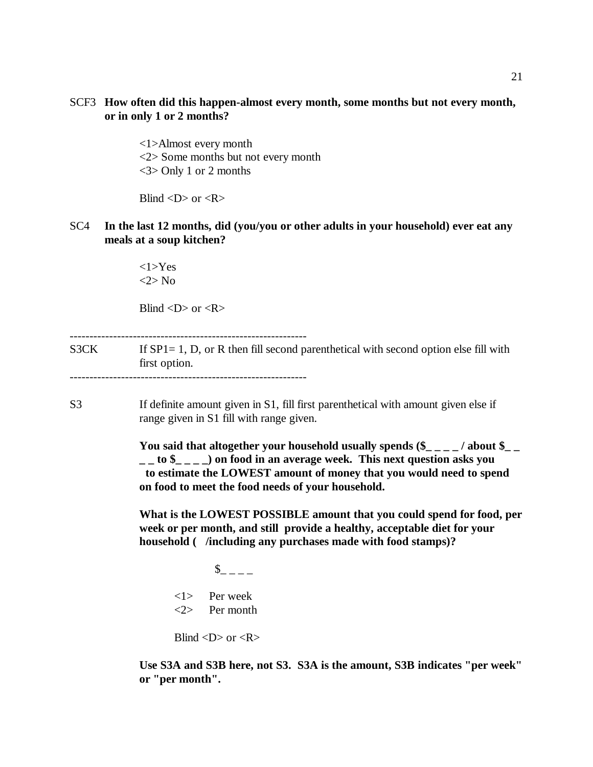## SCF3 **How often did this happen-almost every month, some months but not every month, or in only 1 or 2 months?**

<1>Almost every month <2> Some months but not every month <3> Only 1 or 2 months

Blind  $\langle D \rangle$  or  $\langle R \rangle$ 

SC4 **In the last 12 months, did (you/you or other adults in your household) ever eat any meals at a soup kitchen?**

> <1>Yes <2> No

Blind  $\langle D \rangle$  or  $\langle R \rangle$ 

 $S3CK$  If  $SP1 = 1$ , D, or R then fill second parenthetical with second option else fill with first option. ------------------------------------------------------------

S3 If definite amount given in S1, fill first parenthetical with amount given else if range given in S1 fill with range given.

> **You said that altogether your household usually spends (\$\_ \_ \_ \_ / about \$\_ \_ \_ \_ to \$\_ \_ \_ \_) on food in an average week. This next question asks you to estimate the LOWEST amount of money that you would need to spend on food to meet the food needs of your household.**

> **What is the LOWEST POSSIBLE amount that you could spend for food, per week or per month, and still provide a healthy, acceptable diet for your household ( /including any purchases made with food stamps)?**

 $\int$   $\int$   $\frac{1}{2}$   $\int$   $\frac{1}{2}$   $\int$   $\frac{1}{2}$   $\int$   $\frac{1}{2}$   $\int$   $\frac{1}{2}$   $\int$   $\frac{1}{2}$   $\int$   $\frac{1}{2}$   $\int$   $\frac{1}{2}$   $\int$   $\frac{1}{2}$   $\int$   $\frac{1}{2}$   $\int$   $\frac{1}{2}$   $\int$   $\frac{1}{2}$   $\int$   $\frac{1}{2}$   $\int$   $\frac{1}{2}$   $\int$  <1> Per week <2> Per month

Blind  $\langle D \rangle$  or  $\langle R \rangle$ 

**Use S3A and S3B here, not S3. S3A is the amount, S3B indicates "per week" or "per month".**